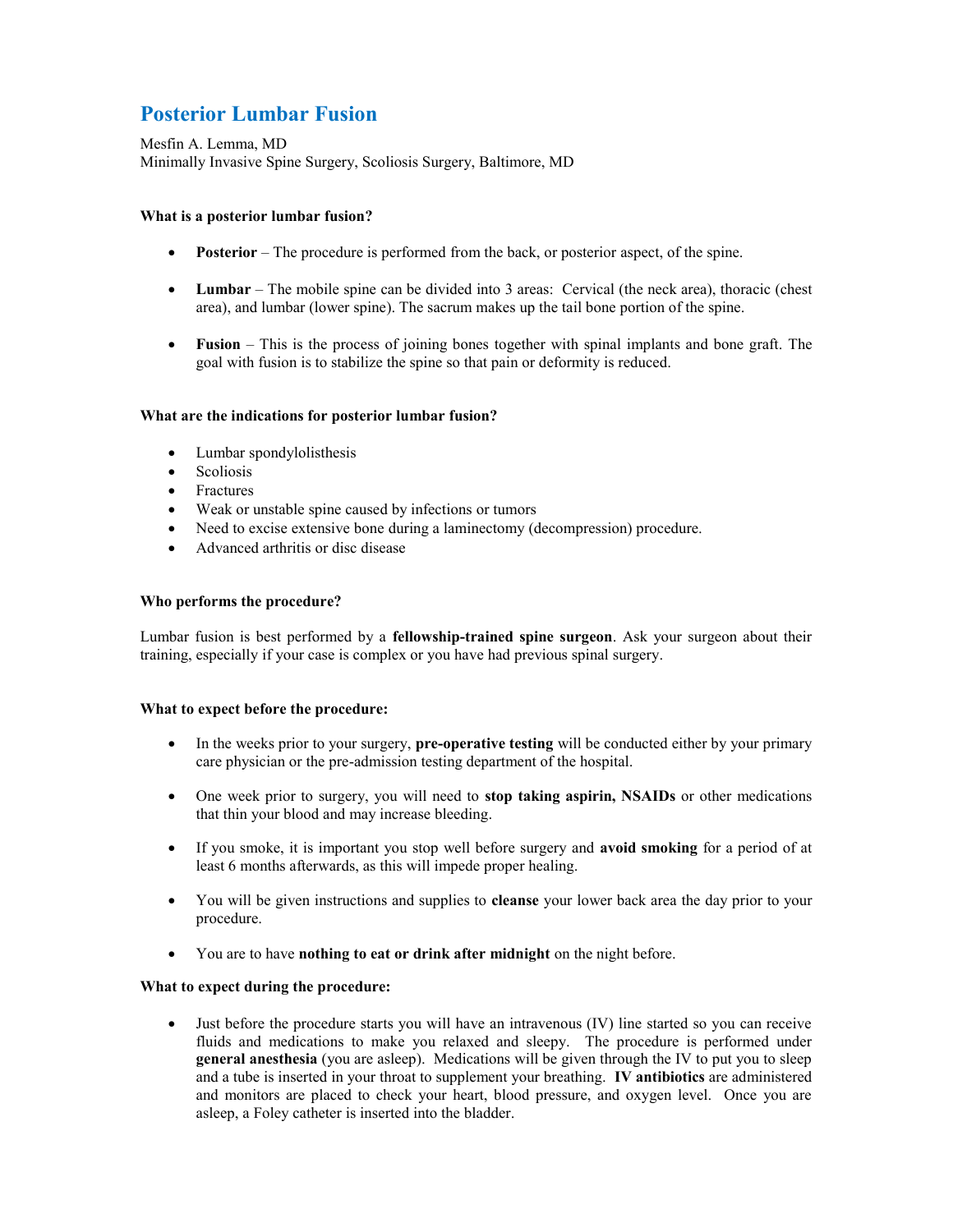# **Posterior Lumbar Fusion**

Mesfin A. Lemma, MD Minimally Invasive Spine Surgery, Scoliosis Surgery, Baltimore, MD

# **What is a posterior lumbar fusion?**

- **Posterior** The procedure is performed from the back, or posterior aspect, of the spine.
- **Lumbar** The mobile spine can be divided into 3 areas: Cervical (the neck area), thoracic (chest area), and lumbar (lower spine). The sacrum makes up the tail bone portion of the spine.
- **Fusion** This is the process of joining bones together with spinal implants and bone graft. The goal with fusion is to stabilize the spine so that pain or deformity is reduced.

## **What are the indications for posterior lumbar fusion?**

- Lumbar spondylolisthesis
- Scoliosis
- Fractures
- Weak or unstable spine caused by infections or tumors
- Need to excise extensive bone during a laminectomy (decompression) procedure.
- Advanced arthritis or disc disease

#### **Who performs the procedure?**

Lumbar fusion is best performed by a **fellowship-trained spine surgeon**. Ask your surgeon about their training, especially if your case is complex or you have had previous spinal surgery.

### **What to expect before the procedure:**

- In the weeks prior to your surgery, **pre-operative testing** will be conducted either by your primary care physician or the pre-admission testing department of the hospital.
- One week prior to surgery, you will need to **stop taking aspirin, NSAIDs** or other medications that thin your blood and may increase bleeding.
- If you smoke, it is important you stop well before surgery and **avoid smoking** for a period of at least 6 months afterwards, as this will impede proper healing.
- You will be given instructions and supplies to **cleanse** your lower back area the day prior to your procedure.
- You are to have **nothing to eat or drink after midnight** on the night before.

## **What to expect during the procedure:**

 Just before the procedure starts you will have an intravenous (IV) line started so you can receive fluids and medications to make you relaxed and sleepy. The procedure is performed under **general anesthesia** (you are asleep). Medications will be given through the IV to put you to sleep and a tube is inserted in your throat to supplement your breathing. **IV antibiotics** are administered and monitors are placed to check your heart, blood pressure, and oxygen level. Once you are asleep, a Foley catheter is inserted into the bladder.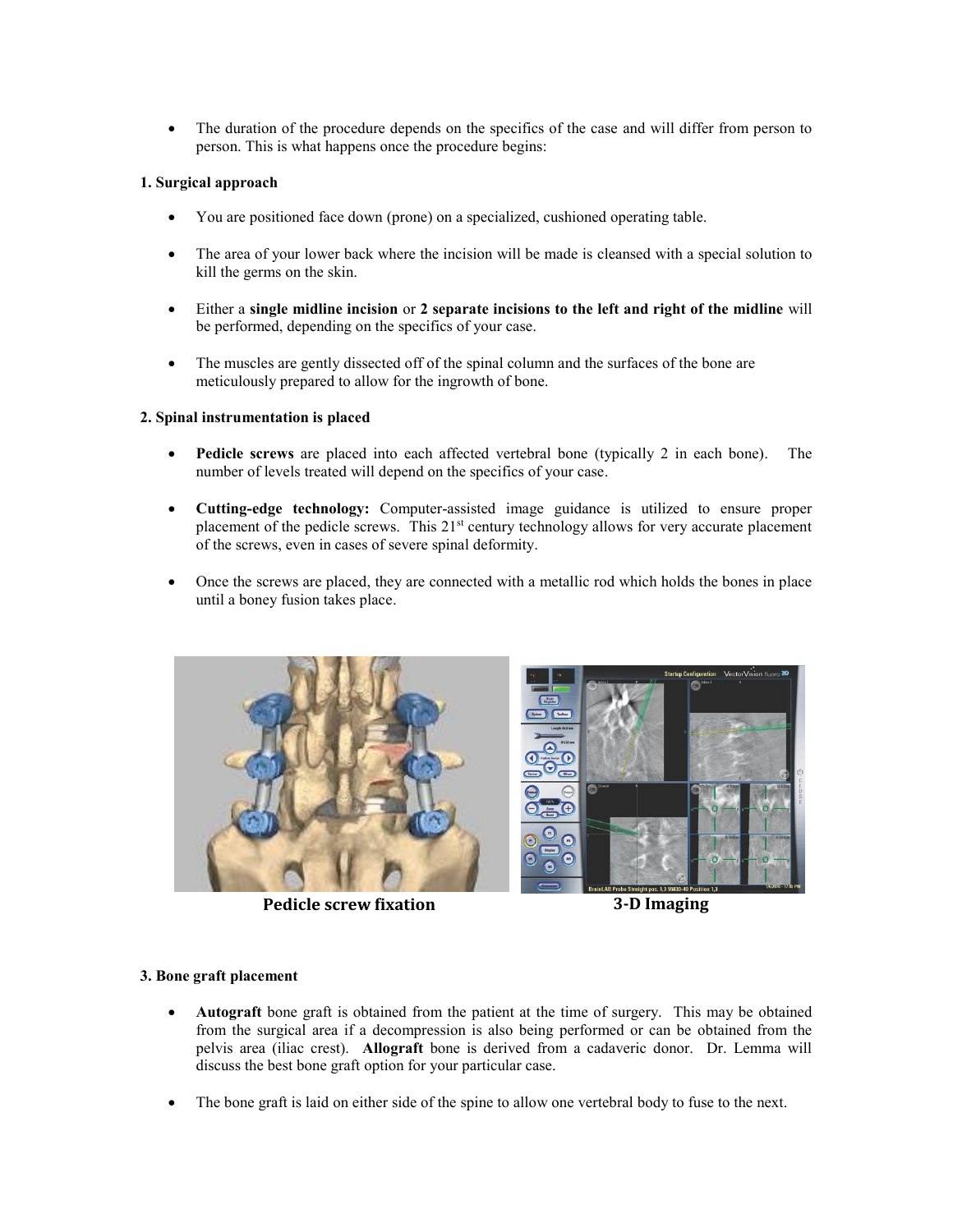The duration of the procedure depends on the specifics of the case and will differ from person to person. This is what happens once the procedure begins:

# **1. Surgical approach**

- You are positioned face down (prone) on a specialized, cushioned operating table.
- The area of your lower back where the incision will be made is cleansed with a special solution to kill the germs on the skin.
- Either a **single midline incision** or **2 separate incisions to the left and right of the midline** will be performed, depending on the specifics of your case.
- The muscles are gently dissected off of the spinal column and the surfaces of the bone are meticulously prepared to allow for the ingrowth of bone.

#### **2. Spinal instrumentation is placed**

- **Pedicle screws** are placed into each affected vertebral bone (typically 2 in each bone). The number of levels treated will depend on the specifics of your case.
- **Cutting-edge technology:** Computer-assisted image guidance is utilized to ensure proper placement of the pedicle screws. This 21<sup>st</sup> century technology allows for very accurate placement of the screws, even in cases of severe spinal deformity.
- Once the screws are placed, they are connected with a metallic rod which holds the bones in place until a boney fusion takes place.



**Pedicle screw fixation 3-D Imaging**



# **3. Bone graft placement**

- **Autograft** bone graft is obtained from the patient at the time of surgery. This may be obtained from the surgical area if a decompression is also being performed or can be obtained from the pelvis area (iliac crest). **Allograft** bone is derived from a cadaveric donor. Dr. Lemma will discuss the best bone graft option for your particular case.
- The bone graft is laid on either side of the spine to allow one vertebral body to fuse to the next.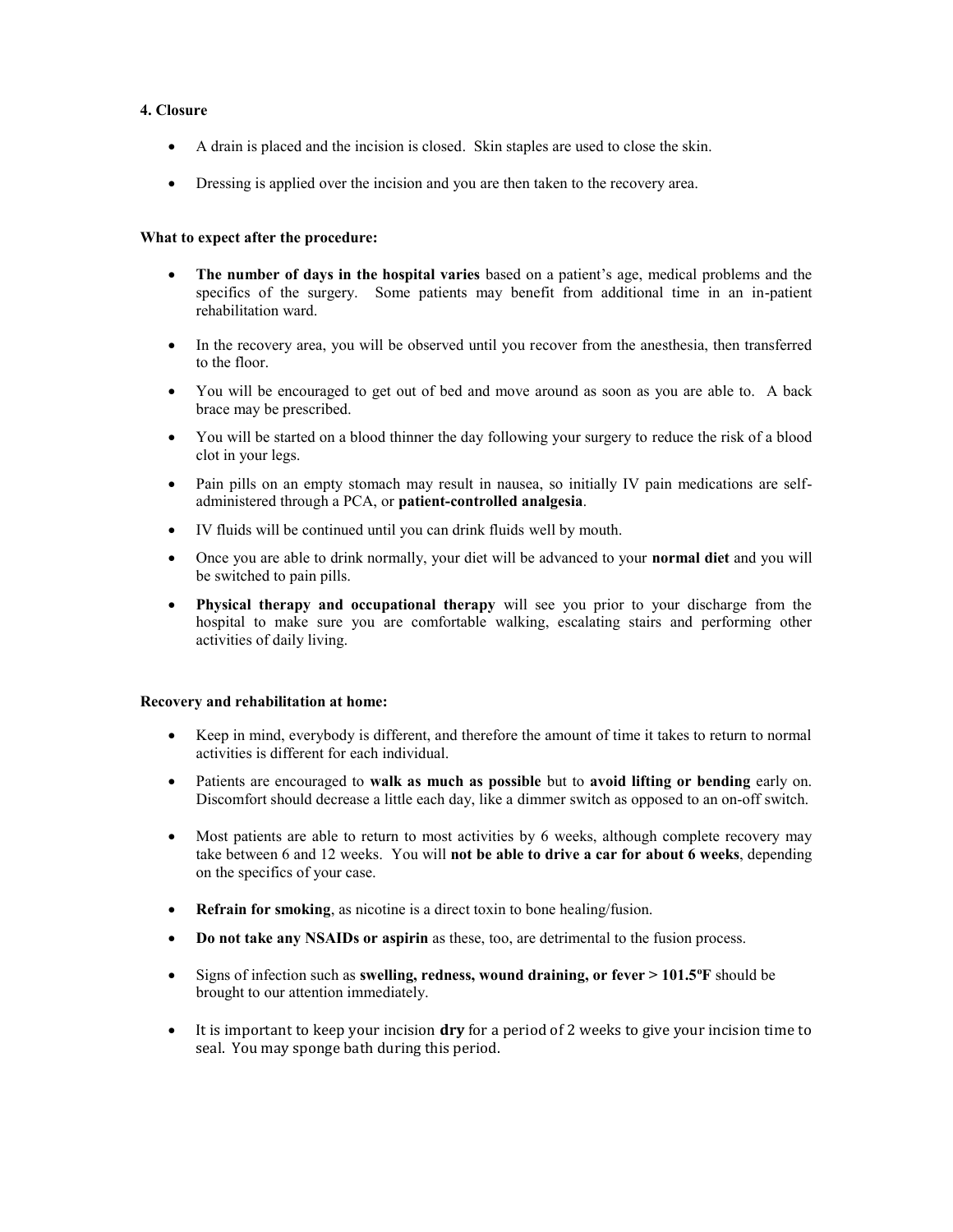# **4. Closure**

- A drain is placed and the incision is closed. Skin staples are used to close the skin.
- Dressing is applied over the incision and you are then taken to the recovery area.

## **What to expect after the procedure:**

- **The number of days in the hospital varies** based on a patient's age, medical problems and the specifics of the surgery. Some patients may benefit from additional time in an in-patient rehabilitation ward.
- In the recovery area, you will be observed until you recover from the anesthesia, then transferred to the floor.
- You will be encouraged to get out of bed and move around as soon as you are able to. A back brace may be prescribed.
- You will be started on a blood thinner the day following your surgery to reduce the risk of a blood clot in your legs.
- Pain pills on an empty stomach may result in nausea, so initially IV pain medications are selfadministered through a PCA, or **patient-controlled analgesia**.
- IV fluids will be continued until you can drink fluids well by mouth.
- Once you are able to drink normally, your diet will be advanced to your **normal diet** and you will be switched to pain pills.
- **Physical therapy and occupational therapy** will see you prior to your discharge from the hospital to make sure you are comfortable walking, escalating stairs and performing other activities of daily living.

#### **Recovery and rehabilitation at home:**

- Keep in mind, everybody is different, and therefore the amount of time it takes to return to normal activities is different for each individual.
- Patients are encouraged to **walk as much as possible** but to **avoid lifting or bending** early on. Discomfort should decrease a little each day, like a dimmer switch as opposed to an on-off switch.
- Most patients are able to return to most activities by 6 weeks, although complete recovery may take between 6 and 12 weeks. You will **not be able to drive a car for about 6 weeks**, depending on the specifics of your case.
- **Refrain for smoking**, as nicotine is a direct toxin to bone healing/fusion.
- **Do not take any NSAIDs or aspirin** as these, too, are detrimental to the fusion process.
- Signs of infection such as **swelling, redness, wound draining, or fever > 101.5<sup>o</sup>F** should be brought to our attention immediately.
- It is important to keep your incision **dry** for a period of 2 weeks to give your incision time to seal. You may sponge bath during this period.